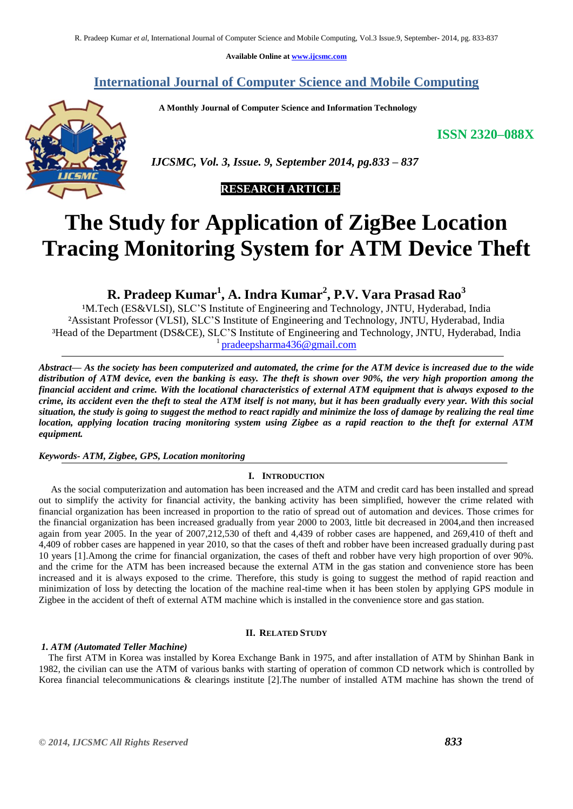**Available Online at [www.ijcsmc.com](http://www.ijcsmc.com/)**

**International Journal of Computer Science and Mobile Computing**

 **A Monthly Journal of Computer Science and Information Technology**

**ISSN 2320–088X**



 *IJCSMC, Vol. 3, Issue. 9, September 2014, pg.833 – 837*

## **RESEARCH ARTICLE**

# **The Study for Application of ZigBee Location Tracing Monitoring System for ATM Device Theft**

**R. Pradeep Kumar<sup>1</sup> , A. Indra Kumar<sup>2</sup> , P.V. Vara Prasad Rao<sup>3</sup>**

<sup>1</sup>M.Tech (ES&VLSI), SLC'S Institute of Engineering and Technology, JNTU, Hyderabad, India ²Assistant Professor (VLSI), SLC'S Institute of Engineering and Technology, JNTU, Hyderabad, India ³Head of the Department (DS&CE), SLC'S Institute of Engineering and Technology, JNTU, Hyderabad, India 1 [pradeepsharma436@gmail.com](mailto:pradeepsharma436@gmail.com)

*Abstract— As the society has been computerized and automated, the crime for the ATM device is increased due to the wide distribution of ATM device, even the banking is easy. The theft is shown over 90%, the very high proportion among the financial accident and crime. With the locational characteristics of external ATM equipment that is always exposed to the crime, its accident even the theft to steal the ATM itself is not many, but it has been gradually every year. With this social situation, the study is going to suggest the method to react rapidly and minimize the loss of damage by realizing the real time location, applying location tracing monitoring system using Zigbee as a rapid reaction to the theft for external ATM equipment.*

*Keywords- ATM, Zigbee, GPS, Location monitoring*

### **I. INTRODUCTION**

 As the social computerization and automation has been increased and the ATM and credit card has been installed and spread out to simplify the activity for financial activity, the banking activity has been simplified, however the crime related with financial organization has been increased in proportion to the ratio of spread out of automation and devices. Those crimes for the financial organization has been increased gradually from year 2000 to 2003, little bit decreased in 2004,and then increased again from year 2005. In the year of 2007,212,530 of theft and 4,439 of robber cases are happened, and 269,410 of theft and 4,409 of robber cases are happened in year 2010, so that the cases of theft and robber have been increased gradually during past 10 years [1].Among the crime for financial organization, the cases of theft and robber have very high proportion of over 90%. and the crime for the ATM has been increased because the external ATM in the gas station and convenience store has been increased and it is always exposed to the crime. Therefore, this study is going to suggest the method of rapid reaction and minimization of loss by detecting the location of the machine real-time when it has been stolen by applying GPS module in Zigbee in the accident of theft of external ATM machine which is installed in the convenience store and gas station.

#### **II. RELATED STUDY**

#### *1. ATM (Automated Teller Machine)*

 The first ATM in Korea was installed by Korea Exchange Bank in 1975, and after installation of ATM by Shinhan Bank in 1982, the civilian can use the ATM of various banks with starting of operation of common CD network which is controlled by Korea financial telecommunications & clearings institute [2].The number of installed ATM machine has shown the trend of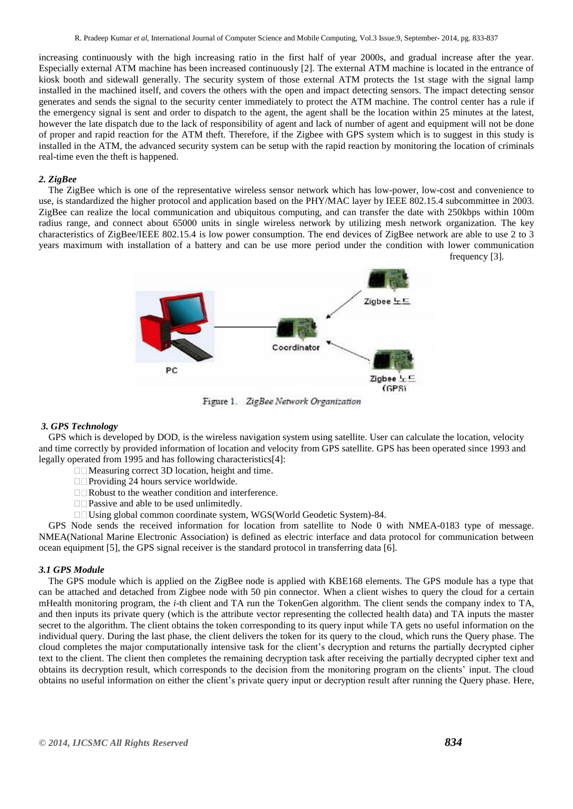increasing continuously with the high increasing ratio in the first half of year 2000s, and gradual increase after the year. Especially external ATM machine has been increased continuously [2]. The external ATM machine is located in the entrance of kiosk booth and sidewall generally. The security system of those external ATM protects the 1st stage with the signal lamp installed in the machined itself, and covers the others with the open and impact detecting sensors. The impact detecting sensor generates and sends the signal to the security center immediately to protect the ATM machine. The control center has a rule if the emergency signal is sent and order to dispatch to the agent, the agent shall be the location within 25 minutes at the latest, however the late dispatch due to the lack of responsibility of agent and lack of number of agent and equipment will not be done of proper and rapid reaction for the ATM theft. Therefore, if the Zigbee with GPS system which is to suggest in this study is installed in the ATM, the advanced security system can be setup with the rapid reaction by monitoring the location of criminals real-time even the theft is happened.

#### *2. ZigBee*

 The ZigBee which is one of the representative wireless sensor network which has low-power, low-cost and convenience to use, is standardized the higher protocol and application based on the PHY/MAC layer by IEEE 802.15.4 subcommittee in 2003. ZigBee can realize the local communication and ubiquitous computing, and can transfer the date with 250kbps within 100m radius range, and connect about 65000 units in single wireless network by utilizing mesh network organization. The key characteristics of ZigBee/IEEE 802.15.4 is low power consumption. The end devices of ZigBee network are able to use 2 to 3 years maximum with installation of a battery and can be use more period under the condition with lower communication frequency [3].



Figure 1. ZigBee Network Organization

#### *3. GPS Technology*

 GPS which is developed by DOD, is the wireless navigation system using satellite. User can calculate the location, velocity and time correctly by provided information of location and velocity from GPS satellite. GPS has been operated since 1993 and legally operated from 1995 and has following characteristics[4]:

- $\Box$ Measuring correct 3D location, height and time.
- $\Box$ Providing 24 hours service worldwide.
- □□Robust to the weather condition and interference.
- $\Box$  Passive and able to be used unlimitedly.
- Using global common coordinate system, WGS(World Geodetic System)-84.

 GPS Node sends the received information for location from satellite to Node 0 with NMEA-0183 type of message. NMEA(National Marine Electronic Association) is defined as electric interface and data protocol for communication between ocean equipment [5], the GPS signal receiver is the standard protocol in transferring data [6].

#### *3.1 GPS Module*

 The GPS module which is applied on the ZigBee node is applied with KBE168 elements. The GPS module has a type that can be attached and detached from Zigbee node with 50 pin connector. When a client wishes to query the cloud for a certain mHealth monitoring program, the *i*-th client and TA run the TokenGen algorithm. The client sends the company index to TA, and then inputs its private query (which is the attribute vector representing the collected health data) and TA inputs the master secret to the algorithm. The client obtains the token corresponding to its query input while TA gets no useful information on the individual query. During the last phase, the client delivers the token for its query to the cloud, which runs the Query phase. The cloud completes the major computationally intensive task for the client's decryption and returns the partially decrypted cipher text to the client. The client then completes the remaining decryption task after receiving the partially decrypted cipher text and obtains its decryption result, which corresponds to the decision from the monitoring program on the clients' input. The cloud obtains no useful information on either the client's private query input or decryption result after running the Query phase. Here,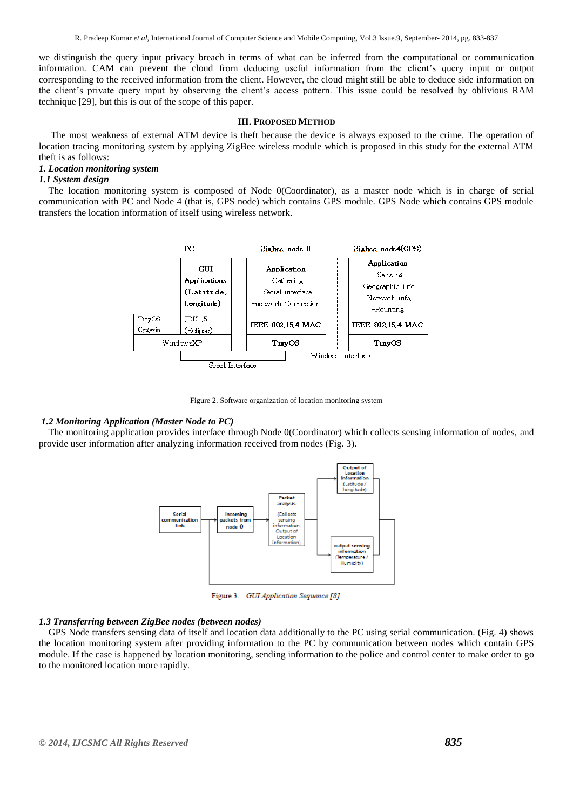we distinguish the query input privacy breach in terms of what can be inferred from the computational or communication information. CAM can prevent the cloud from deducing useful information from the client's query input or output corresponding to the received information from the client. However, the cloud might still be able to deduce side information on the client's private query input by observing the client's access pattern. This issue could be resolved by oblivious RAM technique [29], but this is out of the scope of this paper.

#### **III. PROPOSEDMETHOD**

The most weakness of external ATM device is theft because the device is always exposed to the crime. The operation of location tracing monitoring system by applying ZigBee wireless module which is proposed in this study for the external ATM theft is as follows:

#### *1. Location monitoring system*

#### *1.1 System design*

 The location monitoring system is composed of Node 0(Coordinator), as a master node which is in charge of serial communication with PC and Node 4 (that is, GPS node) which contains GPS module. GPS Node which contains GPS module transfers the location information of itself using wireless network.



Figure 2. Software organization of location monitoring system

#### *1.2 Monitoring Application (Master Node to PC)*

 The monitoring application provides interface through Node 0(Coordinator) which collects sensing information of nodes, and provide user information after analyzing information received from nodes (Fig. 3).



Figure 3. GUI Application Sequence [8]

#### *1.3 Transferring between ZigBee nodes (between nodes)*

 GPS Node transfers sensing data of itself and location data additionally to the PC using serial communication. (Fig. 4) shows the location monitoring system after providing information to the PC by communication between nodes which contain GPS module. If the case is happened by location monitoring, sending information to the police and control center to make order to go to the monitored location more rapidly.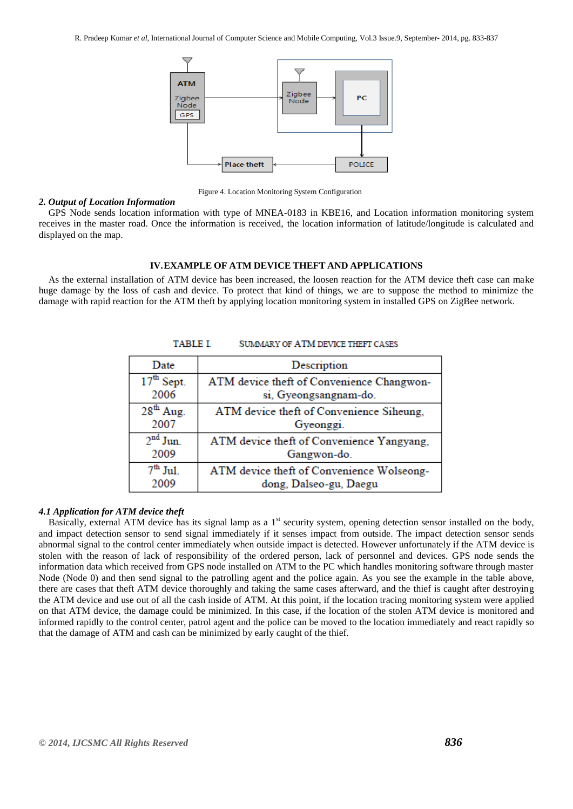R. Pradeep Kumar *et al*, International Journal of Computer Science and Mobile Computing, Vol.3 Issue.9, September- 2014, pg. 833-837



Figure 4. Location Monitoring System Configuration

#### *2. Output of Location Information*

 GPS Node sends location information with type of MNEA-0183 in KBE16, and Location information monitoring system receives in the master road. Once the information is received, the location information of latitude/longitude is calculated and displayed on the map.

#### **IV.EXAMPLE OF ATM DEVICE THEFT AND APPLICATIONS**

 As the external installation of ATM device has been increased, the loosen reaction for the ATM device theft case can make huge damage by the loss of cash and device. To protect that kind of things, we are to suppose the method to minimize the damage with rapid reaction for the ATM theft by applying location monitoring system in installed GPS on ZigBee network.

| Date         | Description                               |
|--------------|-------------------------------------------|
| $17th$ Sept. | ATM device theft of Convenience Changwon- |
| 2006         | si, Gyeongsangnam-do.                     |
| $28th$ Aug.  | ATM device theft of Convenience Siheung,  |
| 2007         | Gyeonggi.                                 |
| $2nd$ Jun.   | ATM device theft of Convenience Yangyang, |
| 2009         | Gangwon-do.                               |
| $7th$ Jul.   | ATM device theft of Convenience Wolseong- |
| 2009         | dong, Dalseo-gu, Daegu                    |

#### **TABLE I SUMMARY OF ATM DEVICE THEFT CASES**

#### *4.1 Application for ATM device theft*

Basically, external ATM device has its signal lamp as a  $1<sup>st</sup>$  security system, opening detection sensor installed on the body, and impact detection sensor to send signal immediately if it senses impact from outside. The impact detection sensor sends abnormal signal to the control center immediately when outside impact is detected. However unfortunately if the ATM device is stolen with the reason of lack of responsibility of the ordered person, lack of personnel and devices. GPS node sends the information data which received from GPS node installed on ATM to the PC which handles monitoring software through master Node (Node 0) and then send signal to the patrolling agent and the police again. As you see the example in the table above, there are cases that theft ATM device thoroughly and taking the same cases afterward, and the thief is caught after destroying the ATM device and use out of all the cash inside of ATM. At this point, if the location tracing monitoring system were applied on that ATM device, the damage could be minimized. In this case, if the location of the stolen ATM device is monitored and informed rapidly to the control center, patrol agent and the police can be moved to the location immediately and react rapidly so that the damage of ATM and cash can be minimized by early caught of the thief.